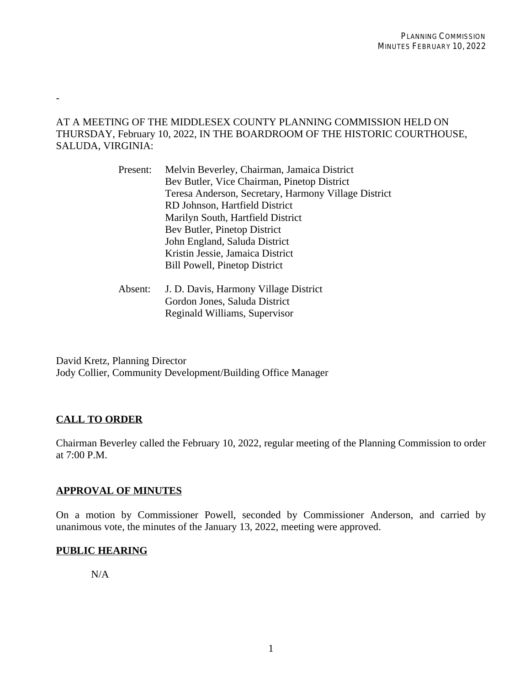### AT A MEETING OF THE MIDDLESEX COUNTY PLANNING COMMISSION HELD ON THURSDAY, February 10, 2022, IN THE BOARDROOM OF THE HISTORIC COURTHOUSE, SALUDA, VIRGINIA:

| Present: | Melvin Beverley, Chairman, Jamaica District          |
|----------|------------------------------------------------------|
|          | Bev Butler, Vice Chairman, Pinetop District          |
|          | Teresa Anderson, Secretary, Harmony Village District |
|          | RD Johnson, Hartfield District                       |
|          | Marilyn South, Hartfield District                    |
|          | Bev Butler, Pinetop District                         |
|          | John England, Saluda District                        |
|          | Kristin Jessie, Jamaica District                     |
|          | <b>Bill Powell, Pinetop District</b>                 |
|          |                                                      |

Absent: J. D. Davis, Harmony Village District Gordon Jones, Saluda District Reginald Williams, Supervisor

David Kretz, Planning Director Jody Collier, Community Development/Building Office Manager

# **CALL TO ORDER**

-

Chairman Beverley called the February 10, 2022, regular meeting of the Planning Commission to order at 7:00 P.M.

### **APPROVAL OF MINUTES**

On a motion by Commissioner Powell, seconded by Commissioner Anderson, and carried by unanimous vote, the minutes of the January 13, 2022, meeting were approved.

# **PUBLIC HEARING**

N/A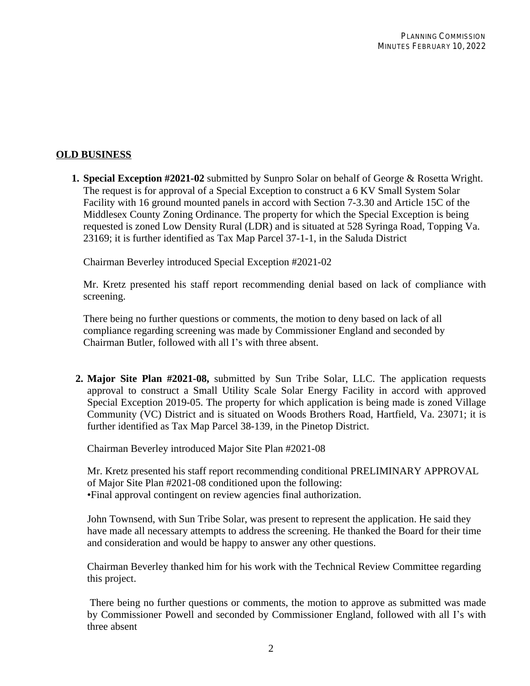### **OLD BUSINESS**

**1. Special Exception #2021-02** submitted by Sunpro Solar on behalf of George & Rosetta Wright. The request is for approval of a Special Exception to construct a 6 KV Small System Solar Facility with 16 ground mounted panels in accord with Section 7-3.30 and Article 15C of the Middlesex County Zoning Ordinance. The property for which the Special Exception is being requested is zoned Low Density Rural (LDR) and is situated at 528 Syringa Road, Topping Va. 23169; it is further identified as Tax Map Parcel 37-1-1, in the Saluda District

Chairman Beverley introduced Special Exception #2021-02

Mr. Kretz presented his staff report recommending denial based on lack of compliance with screening.

There being no further questions or comments, the motion to deny based on lack of all compliance regarding screening was made by Commissioner England and seconded by Chairman Butler, followed with all I's with three absent.

**2. Major Site Plan #2021-08,** submitted by Sun Tribe Solar, LLC. The application requests approval to construct a Small Utility Scale Solar Energy Facility in accord with approved Special Exception 2019-05. The property for which application is being made is zoned Village Community (VC) District and is situated on Woods Brothers Road, Hartfield, Va. 23071; it is further identified as Tax Map Parcel 38-139, in the Pinetop District.

Chairman Beverley introduced Major Site Plan #2021-08

Mr. Kretz presented his staff report recommending conditional PRELIMINARY APPROVAL of Major Site Plan #2021-08 conditioned upon the following: •Final approval contingent on review agencies final authorization.

John Townsend, with Sun Tribe Solar, was present to represent the application. He said they have made all necessary attempts to address the screening. He thanked the Board for their time and consideration and would be happy to answer any other questions.

Chairman Beverley thanked him for his work with the Technical Review Committee regarding this project.

There being no further questions or comments, the motion to approve as submitted was made by Commissioner Powell and seconded by Commissioner England, followed with all I's with three absent